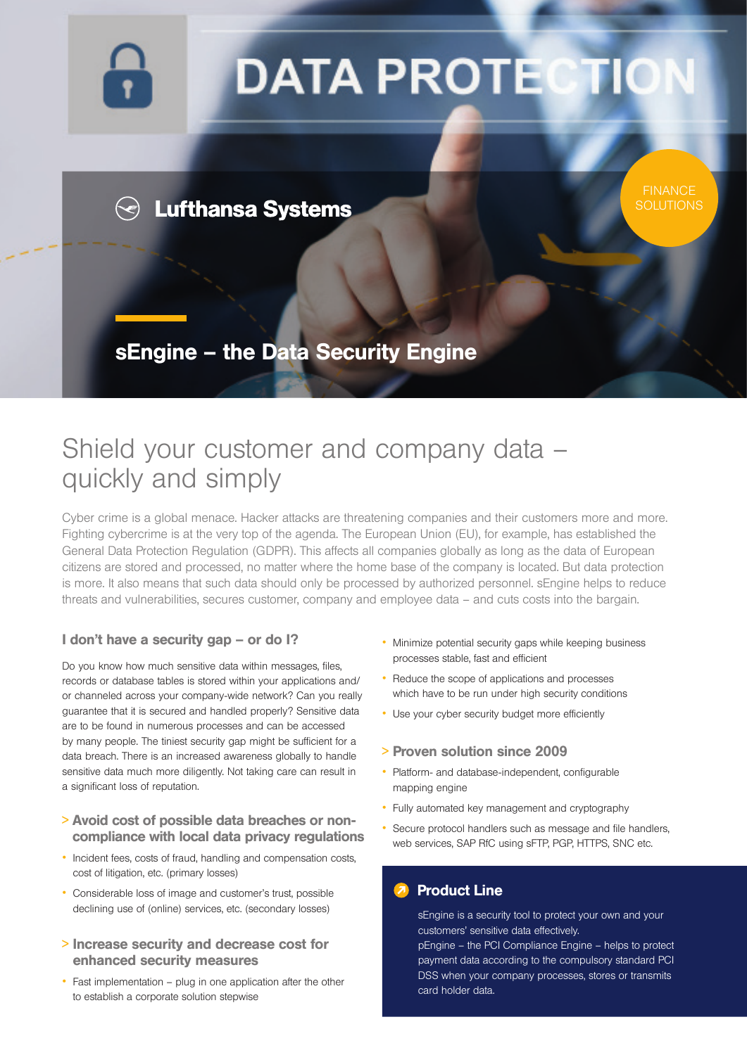

# **DATA PROTECTI**

**FINANCE SOLUTIONS** 

### **Lufthansa Systems**

sEngine – the Data Security Engine

## Shield your customer and company data – quickly and simply

Cyber crime is a global menace. Hacker attacks are threatening companies and their customers more and more. Fighting cybercrime is at the very top of the agenda. The European Union (EU), for example, has established the General Data Protection Regulation (GDPR). This affects all companies globally as long as the data of European citizens are stored and processed, no matter where the home base of the company is located. But data protection is more. It also means that such data should only be processed by authorized personnel. sEngine helps to reduce threats and vulnerabilities, secures customer, company and employee data – and cuts costs into the bargain.

#### I don't have a security gap - or do I?

Do you know how much sensitive data within messages, files, records or database tables is stored within your applications and/ or channeled across your company-wide network? Can you really guarantee that it is secured and handled properly? Sensitive data are to be found in numerous processes and can be accessed by many people. The tiniest security gap might be sufficient for a data breach. There is an increased awareness globally to handle sensitive data much more diligently. Not taking care can result in a significant loss of reputation.

- <sup>&</sup>gt; Avoid cost of possible data breaches or noncompliance with local data privacy regulations
- Incident fees, costs of fraud, handling and compensation costs, cost of litigation, etc. (primary losses)
- Considerable loss of image and customer's trust, possible declining use of (online) services, etc. (secondary losses)
- <sup>&</sup>gt; Increase security and decrease cost for enhanced security measures
- Fast implementation plug in one application after the other to establish a corporate solution stepwise
- Minimize potential security gaps while keeping business processes stable, fast and efficient
- Reduce the scope of applications and processes which have to be run under high security conditions
- Use your cyber security budget more efficiently

#### > Proven solution since 2009

- Platform- and database-independent, configurable mapping engine
- Fully automated key management and cryptography
- Secure protocol handlers such as message and file handlers, web services, SAP RfC using sFTP, PGP, HTTPS, SNC etc.

#### Product Line

sEngine is a security tool to protect your own and your customers' sensitive data effectively.

pEngine – the PCI Compliance Engine – helps to protect payment data according to the compulsory standard PCI DSS when your company processes, stores or transmits card holder data.